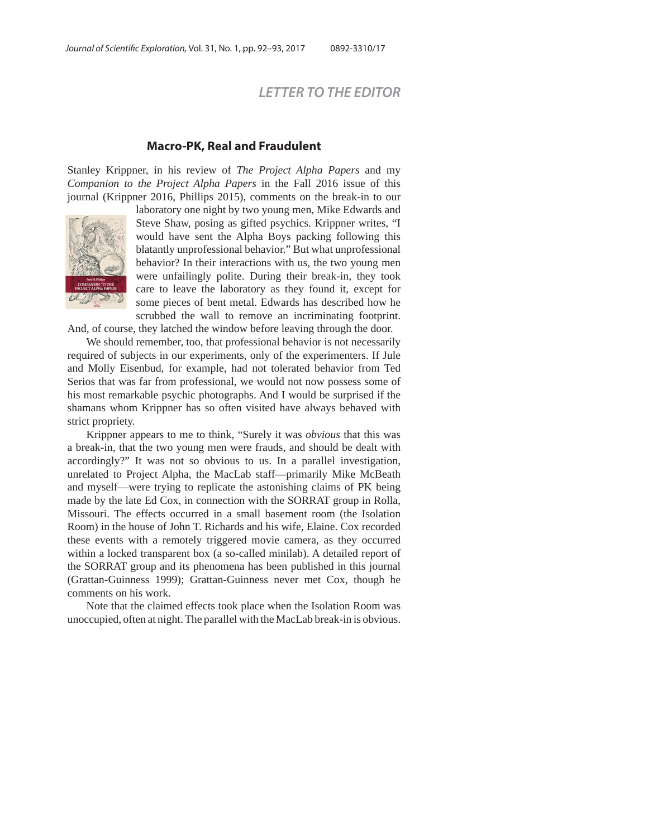## *LETTER TO THE EDITOR*

## **Macro-PK, Real and Fraudulent**

Stanley Krippner, in his review of *The Project Alpha Papers* and my *Companion to the Project Alpha Papers* in the Fall 2016 issue of this journal (Krippner 2016, Phillips 2015), comments on the break-in to our



laboratory one night by two young men, Mike Edwards and Steve Shaw, posing as gifted psychics. Krippner writes, "I would have sent the Alpha Boys packing following this blatantly unprofessional behavior." But what unprofessional behavior? In their interactions with us, the two young men were unfailingly polite. During their break-in, they took care to leave the laboratory as they found it, except for some pieces of bent metal. Edwards has described how he scrubbed the wall to remove an incriminating footprint.

And, of course, they latched the window before leaving through the door.

We should remember, too, that professional behavior is not necessarily required of subjects in our experiments, only of the experimenters. If Jule and Molly Eisenbud, for example, had not tolerated behavior from Ted Serios that was far from professional, we would not now possess some of his most remarkable psychic photographs. And I would be surprised if the shamans whom Krippner has so often visited have always behaved with strict propriety.

Krippner appears to me to think, "Surely it was *obvious* that this was a break-in, that the two young men were frauds, and should be dealt with accordingly?" It was not so obvious to us. In a parallel investigation, unrelated to Project Alpha, the MacLab staff—primarily Mike McBeath and myself—were trying to replicate the astonishing claims of PK being made by the late Ed Cox, in connection with the SORRAT group in Rolla, Missouri. The effects occurred in a small basement room (the Isolation Room) in the house of John T. Richards and his wife, Elaine. Cox recorded these events with a remotely triggered movie camera, as they occurred within a locked transparent box (a so-called minilab). A detailed report of the SORRAT group and its phenomena has been published in this journal (Grattan-Guinness 1999); Grattan-Guinness never met Cox, though he comments on his work.

Note that the claimed effects took place when the Isolation Room was unoccupied, often at night. The parallel with the MacLab break-in is obvious.